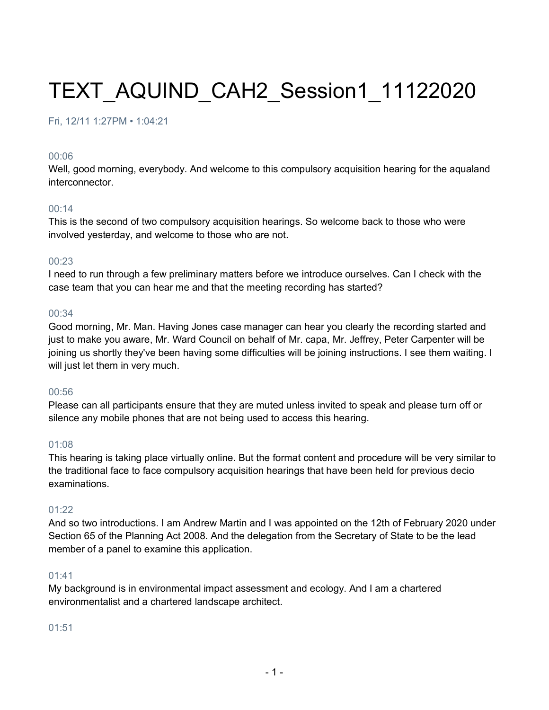# TEXT\_AQUIND\_CAH2\_Session1\_11122020

#### Fri, 12/11 1:27PM • 1:04:21

#### 00:06

Well, good morning, everybody. And welcome to this compulsory acquisition hearing for the aqualand interconnector.

#### 00:14

This is the second of two compulsory acquisition hearings. So welcome back to those who were involved yesterday, and welcome to those who are not.

#### 00:23

I need to run through a few preliminary matters before we introduce ourselves. Can I check with the case team that you can hear me and that the meeting recording has started?

#### 00:34

Good morning, Mr. Man. Having Jones case manager can hear you clearly the recording started and just to make you aware, Mr. Ward Council on behalf of Mr. capa, Mr. Jeffrey, Peter Carpenter will be joining us shortly they've been having some difficulties will be joining instructions. I see them waiting. I will just let them in very much.

#### 00:56

Please can all participants ensure that they are muted unless invited to speak and please turn off or silence any mobile phones that are not being used to access this hearing.

#### 01:08

This hearing is taking place virtually online. But the format content and procedure will be very similar to the traditional face to face compulsory acquisition hearings that have been held for previous decio examinations.

#### $01:22$

And so two introductions. I am Andrew Martin and I was appointed on the 12th of February 2020 under Section 65 of the Planning Act 2008. And the delegation from the Secretary of State to be the lead member of a panel to examine this application.

#### 01:41

My background is in environmental impact assessment and ecology. And I am a chartered environmentalist and a chartered landscape architect.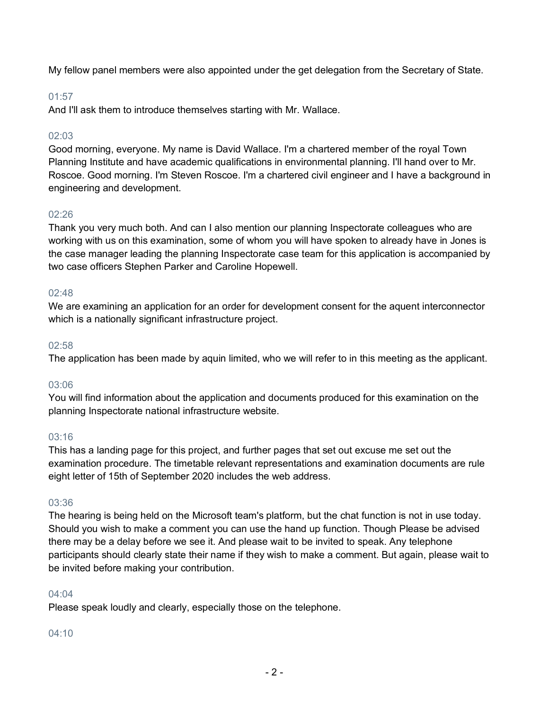My fellow panel members were also appointed under the get delegation from the Secretary of State.

#### 01:57

And I'll ask them to introduce themselves starting with Mr. Wallace.

## $02.03$

Good morning, everyone. My name is David Wallace. I'm a chartered member of the royal Town Planning Institute and have academic qualifications in environmental planning. I'll hand over to Mr. Roscoe. Good morning. I'm Steven Roscoe. I'm a chartered civil engineer and I have a background in engineering and development.

## 02:26

Thank you very much both. And can I also mention our planning Inspectorate colleagues who are working with us on this examination, some of whom you will have spoken to already have in Jones is the case manager leading the planning Inspectorate case team for this application is accompanied by two case officers Stephen Parker and Caroline Hopewell.

#### 02:48

We are examining an application for an order for development consent for the aquent interconnector which is a nationally significant infrastructure project.

#### 02:58

The application has been made by aquin limited, who we will refer to in this meeting as the applicant.

## 03:06

You will find information about the application and documents produced for this examination on the planning Inspectorate national infrastructure website.

## 03:16

This has a landing page for this project, and further pages that set out excuse me set out the examination procedure. The timetable relevant representations and examination documents are rule eight letter of 15th of September 2020 includes the web address.

## 03:36

The hearing is being held on the Microsoft team's platform, but the chat function is not in use today. Should you wish to make a comment you can use the hand up function. Though Please be advised there may be a delay before we see it. And please wait to be invited to speak. Any telephone participants should clearly state their name if they wish to make a comment. But again, please wait to be invited before making your contribution.

#### 04:04

Please speak loudly and clearly, especially those on the telephone.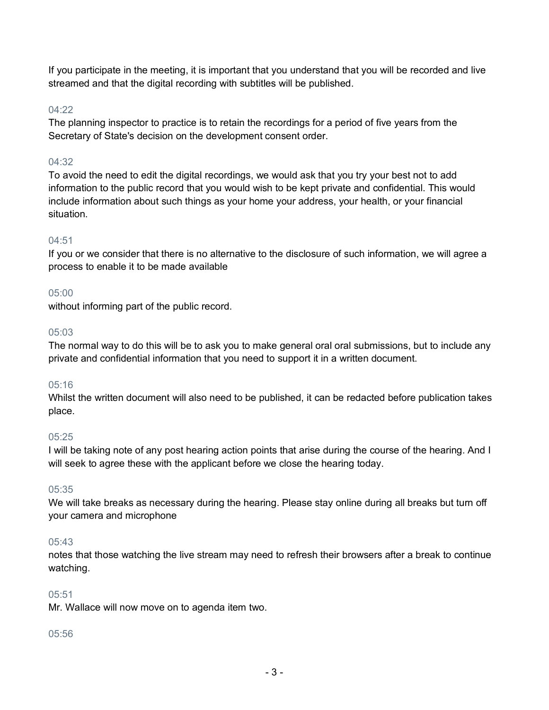If you participate in the meeting, it is important that you understand that you will be recorded and live streamed and that the digital recording with subtitles will be published.

#### $04.22$

The planning inspector to practice is to retain the recordings for a period of five years from the Secretary of State's decision on the development consent order.

#### 04:32

To avoid the need to edit the digital recordings, we would ask that you try your best not to add information to the public record that you would wish to be kept private and confidential. This would include information about such things as your home your address, your health, or your financial situation.

#### 04:51

If you or we consider that there is no alternative to the disclosure of such information, we will agree a process to enable it to be made available

#### 05:00

without informing part of the public record.

#### 05:03

The normal way to do this will be to ask you to make general oral oral submissions, but to include any private and confidential information that you need to support it in a written document.

#### 05:16

Whilst the written document will also need to be published, it can be redacted before publication takes place.

#### $0.5:25$

I will be taking note of any post hearing action points that arise during the course of the hearing. And I will seek to agree these with the applicant before we close the hearing today.

#### 05:35

We will take breaks as necessary during the hearing. Please stay online during all breaks but turn off your camera and microphone

#### $0.5:43$

notes that those watching the live stream may need to refresh their browsers after a break to continue watching.

#### 05:51

Mr. Wallace will now move on to agenda item two.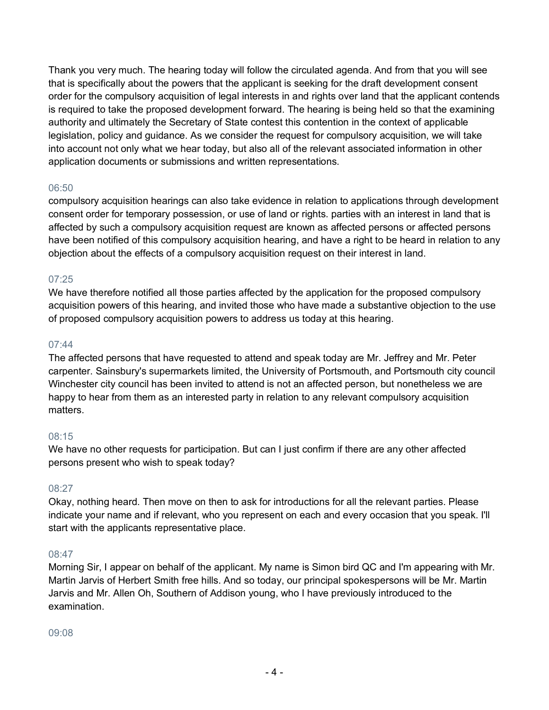Thank you very much. The hearing today will follow the circulated agenda. And from that you will see that is specifically about the powers that the applicant is seeking for the draft development consent order for the compulsory acquisition of legal interests in and rights over land that the applicant contends is required to take the proposed development forward. The hearing is being held so that the examining authority and ultimately the Secretary of State contest this contention in the context of applicable legislation, policy and guidance. As we consider the request for compulsory acquisition, we will take into account not only what we hear today, but also all of the relevant associated information in other application documents or submissions and written representations.

#### 06:50

compulsory acquisition hearings can also take evidence in relation to applications through development consent order for temporary possession, or use of land or rights. parties with an interest in land that is affected by such a compulsory acquisition request are known as affected persons or affected persons have been notified of this compulsory acquisition hearing, and have a right to be heard in relation to any objection about the effects of a compulsory acquisition request on their interest in land.

#### 07:25

We have therefore notified all those parties affected by the application for the proposed compulsory acquisition powers of this hearing, and invited those who have made a substantive objection to the use of proposed compulsory acquisition powers to address us today at this hearing.

#### 07:44

The affected persons that have requested to attend and speak today are Mr. Jeffrey and Mr. Peter carpenter. Sainsbury's supermarkets limited, the University of Portsmouth, and Portsmouth city council Winchester city council has been invited to attend is not an affected person, but nonetheless we are happy to hear from them as an interested party in relation to any relevant compulsory acquisition matters.

## 08:15

We have no other requests for participation. But can I just confirm if there are any other affected persons present who wish to speak today?

#### 08:27

Okay, nothing heard. Then move on then to ask for introductions for all the relevant parties. Please indicate your name and if relevant, who you represent on each and every occasion that you speak. I'll start with the applicants representative place.

## 08:47

Morning Sir, I appear on behalf of the applicant. My name is Simon bird QC and I'm appearing with Mr. Martin Jarvis of Herbert Smith free hills. And so today, our principal spokespersons will be Mr. Martin Jarvis and Mr. Allen Oh, Southern of Addison young, who I have previously introduced to the examination.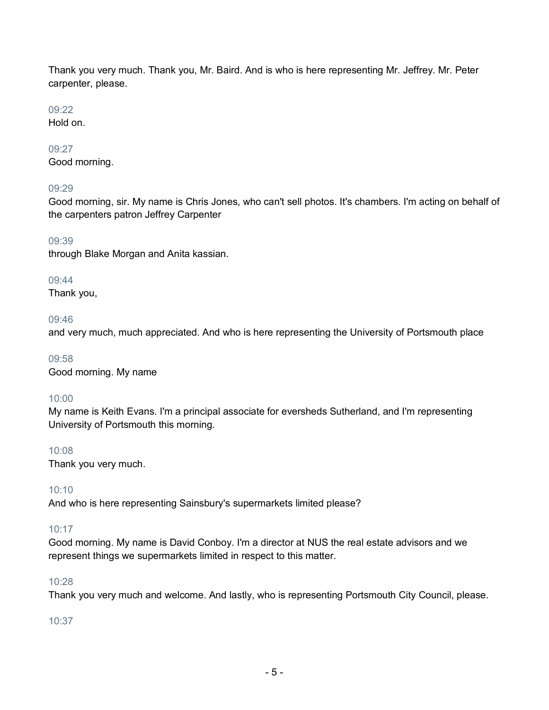Thank you very much. Thank you, Mr. Baird. And is who is here representing Mr. Jeffrey. Mr. Peter carpenter, please.

#### 09:22

Hold on.

## 09:27

Good morning.

## 09:29

Good morning, sir. My name is Chris Jones, who can't sell photos. It's chambers. I'm acting on behalf of the carpenters patron Jeffrey Carpenter

## 09:39

through Blake Morgan and Anita kassian.

## 09:44

Thank you,

## 09:46

and very much, much appreciated. And who is here representing the University of Portsmouth place

09:58 Good morning. My name

## 10:00

My name is Keith Evans. I'm a principal associate for eversheds Sutherland, and I'm representing University of Portsmouth this morning.

## 10:08

Thank you very much.

## 10:10

And who is here representing Sainsbury's supermarkets limited please?

## 10:17

Good morning. My name is David Conboy. I'm a director at NUS the real estate advisors and we represent things we supermarkets limited in respect to this matter.

## 10:28

Thank you very much and welcome. And lastly, who is representing Portsmouth City Council, please.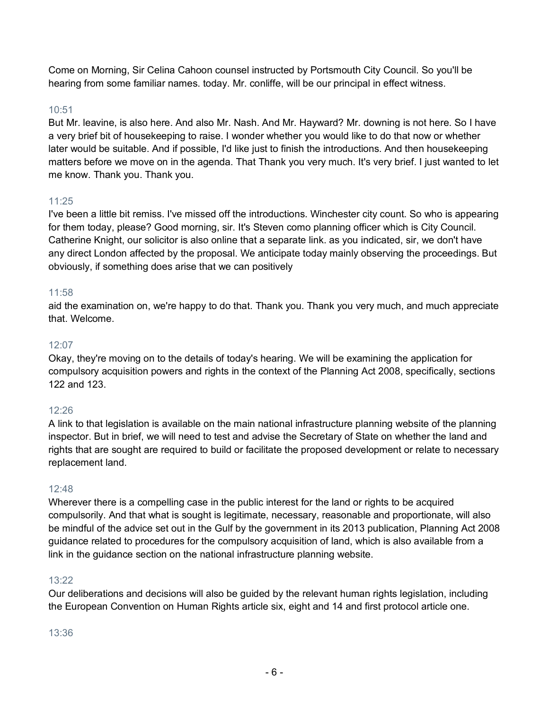Come on Morning, Sir Celina Cahoon counsel instructed by Portsmouth City Council. So you'll be hearing from some familiar names. today. Mr. conliffe, will be our principal in effect witness.

## 10:51

But Mr. leavine, is also here. And also Mr. Nash. And Mr. Hayward? Mr. downing is not here. So I have a very brief bit of housekeeping to raise. I wonder whether you would like to do that now or whether later would be suitable. And if possible, I'd like just to finish the introductions. And then housekeeping matters before we move on in the agenda. That Thank you very much. It's very brief. I just wanted to let me know. Thank you. Thank you.

## 11:25

I've been a little bit remiss. I've missed off the introductions. Winchester city count. So who is appearing for them today, please? Good morning, sir. It's Steven como planning officer which is City Council. Catherine Knight, our solicitor is also online that a separate link. as you indicated, sir, we don't have any direct London affected by the proposal. We anticipate today mainly observing the proceedings. But obviously, if something does arise that we can positively

## 11:58

aid the examination on, we're happy to do that. Thank you. Thank you very much, and much appreciate that. Welcome.

## 12:07

Okay, they're moving on to the details of today's hearing. We will be examining the application for compulsory acquisition powers and rights in the context of the Planning Act 2008, specifically, sections 122 and 123.

## 12:26

A link to that legislation is available on the main national infrastructure planning website of the planning inspector. But in brief, we will need to test and advise the Secretary of State on whether the land and rights that are sought are required to build or facilitate the proposed development or relate to necessary replacement land.

## 12:48

Wherever there is a compelling case in the public interest for the land or rights to be acquired compulsorily. And that what is sought is legitimate, necessary, reasonable and proportionate, will also be mindful of the advice set out in the Gulf by the government in its 2013 publication, Planning Act 2008 guidance related to procedures for the compulsory acquisition of land, which is also available from a link in the guidance section on the national infrastructure planning website.

## 13:22

Our deliberations and decisions will also be guided by the relevant human rights legislation, including the European Convention on Human Rights article six, eight and 14 and first protocol article one.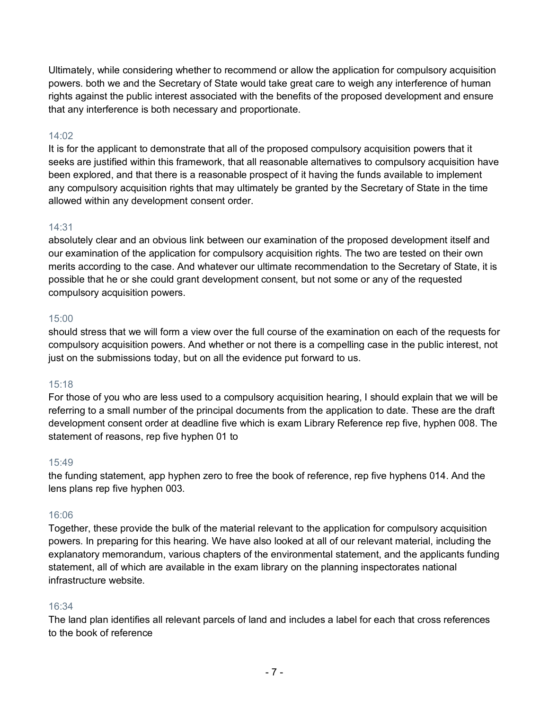Ultimately, while considering whether to recommend or allow the application for compulsory acquisition powers. both we and the Secretary of State would take great care to weigh any interference of human rights against the public interest associated with the benefits of the proposed development and ensure that any interference is both necessary and proportionate.

## 14:02

It is for the applicant to demonstrate that all of the proposed compulsory acquisition powers that it seeks are justified within this framework, that all reasonable alternatives to compulsory acquisition have been explored, and that there is a reasonable prospect of it having the funds available to implement any compulsory acquisition rights that may ultimately be granted by the Secretary of State in the time allowed within any development consent order.

#### 14:31

absolutely clear and an obvious link between our examination of the proposed development itself and our examination of the application for compulsory acquisition rights. The two are tested on their own merits according to the case. And whatever our ultimate recommendation to the Secretary of State, it is possible that he or she could grant development consent, but not some or any of the requested compulsory acquisition powers.

#### 15:00

should stress that we will form a view over the full course of the examination on each of the requests for compulsory acquisition powers. And whether or not there is a compelling case in the public interest, not just on the submissions today, but on all the evidence put forward to us.

## 15:18

For those of you who are less used to a compulsory acquisition hearing, I should explain that we will be referring to a small number of the principal documents from the application to date. These are the draft development consent order at deadline five which is exam Library Reference rep five, hyphen 008. The statement of reasons, rep five hyphen 01 to

#### 15:49

the funding statement, app hyphen zero to free the book of reference, rep five hyphens 014. And the lens plans rep five hyphen 003.

#### 16:06

Together, these provide the bulk of the material relevant to the application for compulsory acquisition powers. In preparing for this hearing. We have also looked at all of our relevant material, including the explanatory memorandum, various chapters of the environmental statement, and the applicants funding statement, all of which are available in the exam library on the planning inspectorates national infrastructure website.

#### 16:34

The land plan identifies all relevant parcels of land and includes a label for each that cross references to the book of reference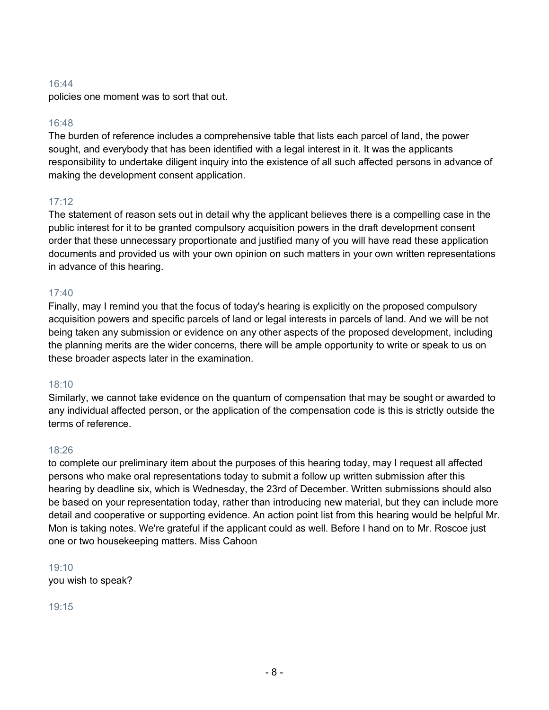policies one moment was to sort that out.

#### 16:48

The burden of reference includes a comprehensive table that lists each parcel of land, the power sought, and everybody that has been identified with a legal interest in it. It was the applicants responsibility to undertake diligent inquiry into the existence of all such affected persons in advance of making the development consent application.

## 17:12

The statement of reason sets out in detail why the applicant believes there is a compelling case in the public interest for it to be granted compulsory acquisition powers in the draft development consent order that these unnecessary proportionate and justified many of you will have read these application documents and provided us with your own opinion on such matters in your own written representations in advance of this hearing.

#### 17:40

Finally, may I remind you that the focus of today's hearing is explicitly on the proposed compulsory acquisition powers and specific parcels of land or legal interests in parcels of land. And we will be not being taken any submission or evidence on any other aspects of the proposed development, including the planning merits are the wider concerns, there will be ample opportunity to write or speak to us on these broader aspects later in the examination.

#### 18:10

Similarly, we cannot take evidence on the quantum of compensation that may be sought or awarded to any individual affected person, or the application of the compensation code is this is strictly outside the terms of reference.

#### 18:26

to complete our preliminary item about the purposes of this hearing today, may I request all affected persons who make oral representations today to submit a follow up written submission after this hearing by deadline six, which is Wednesday, the 23rd of December. Written submissions should also be based on your representation today, rather than introducing new material, but they can include more detail and cooperative or supporting evidence. An action point list from this hearing would be helpful Mr. Mon is taking notes. We're grateful if the applicant could as well. Before I hand on to Mr. Roscoe just one or two housekeeping matters. Miss Cahoon

19:10 you wish to speak?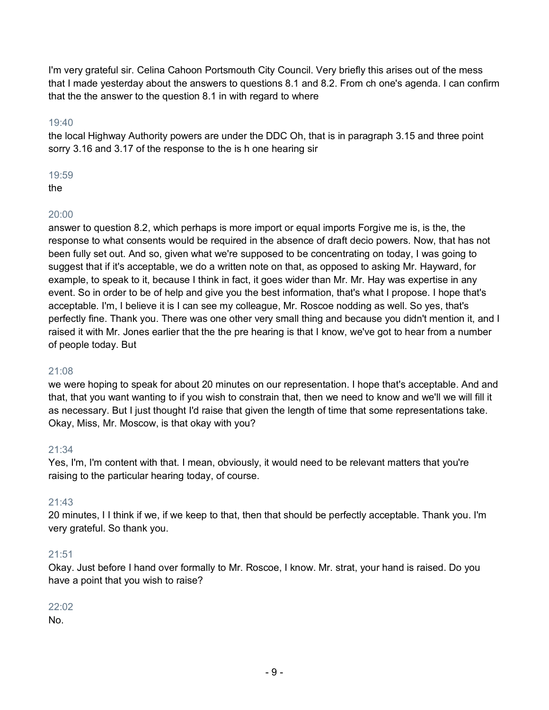I'm very grateful sir. Celina Cahoon Portsmouth City Council. Very briefly this arises out of the mess that I made yesterday about the answers to questions 8.1 and 8.2. From ch one's agenda. I can confirm that the the answer to the question 8.1 in with regard to where

#### 19:40

the local Highway Authority powers are under the DDC Oh, that is in paragraph 3.15 and three point sorry 3.16 and 3.17 of the response to the is h one hearing sir

#### 19:59

the

## 20:00

answer to question 8.2, which perhaps is more import or equal imports Forgive me is, is the, the response to what consents would be required in the absence of draft decio powers. Now, that has not been fully set out. And so, given what we're supposed to be concentrating on today, I was going to suggest that if it's acceptable, we do a written note on that, as opposed to asking Mr. Hayward, for example, to speak to it, because I think in fact, it goes wider than Mr. Mr. Hay was expertise in any event. So in order to be of help and give you the best information, that's what I propose. I hope that's acceptable. I'm, I believe it is I can see my colleague, Mr. Roscoe nodding as well. So yes, that's perfectly fine. Thank you. There was one other very small thing and because you didn't mention it, and I raised it with Mr. Jones earlier that the the pre hearing is that I know, we've got to hear from a number of people today. But

## 21:08

we were hoping to speak for about 20 minutes on our representation. I hope that's acceptable. And and that, that you want wanting to if you wish to constrain that, then we need to know and we'll we will fill it as necessary. But I just thought I'd raise that given the length of time that some representations take. Okay, Miss, Mr. Moscow, is that okay with you?

## 21:34

Yes, I'm, I'm content with that. I mean, obviously, it would need to be relevant matters that you're raising to the particular hearing today, of course.

## 21:43

20 minutes, I I think if we, if we keep to that, then that should be perfectly acceptable. Thank you. I'm very grateful. So thank you.

## 21:51

Okay. Just before I hand over formally to Mr. Roscoe, I know. Mr. strat, your hand is raised. Do you have a point that you wish to raise?

## 22:02

No.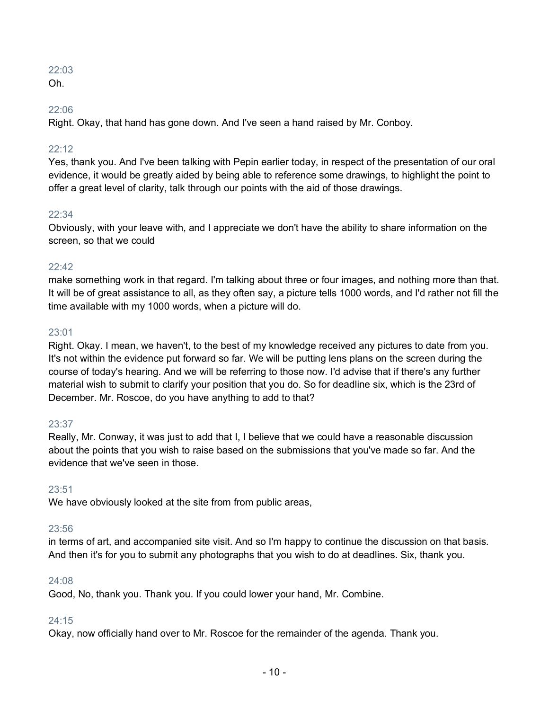Oh.

## 22:06

Right. Okay, that hand has gone down. And I've seen a hand raised by Mr. Conboy.

## 22:12

Yes, thank you. And I've been talking with Pepin earlier today, in respect of the presentation of our oral evidence, it would be greatly aided by being able to reference some drawings, to highlight the point to offer a great level of clarity, talk through our points with the aid of those drawings.

## $22:34$

Obviously, with your leave with, and I appreciate we don't have the ability to share information on the screen, so that we could

## 22:42

make something work in that regard. I'm talking about three or four images, and nothing more than that. It will be of great assistance to all, as they often say, a picture tells 1000 words, and I'd rather not fill the time available with my 1000 words, when a picture will do.

## 23:01

Right. Okay. I mean, we haven't, to the best of my knowledge received any pictures to date from you. It's not within the evidence put forward so far. We will be putting lens plans on the screen during the course of today's hearing. And we will be referring to those now. I'd advise that if there's any further material wish to submit to clarify your position that you do. So for deadline six, which is the 23rd of December. Mr. Roscoe, do you have anything to add to that?

## 23:37

Really, Mr. Conway, it was just to add that I, I believe that we could have a reasonable discussion about the points that you wish to raise based on the submissions that you've made so far. And the evidence that we've seen in those.

## 23:51

We have obviously looked at the site from from public areas,

## 23:56

in terms of art, and accompanied site visit. And so I'm happy to continue the discussion on that basis. And then it's for you to submit any photographs that you wish to do at deadlines. Six, thank you.

## 24:08

Good, No, thank you. Thank you. If you could lower your hand, Mr. Combine.

## 24:15

Okay, now officially hand over to Mr. Roscoe for the remainder of the agenda. Thank you.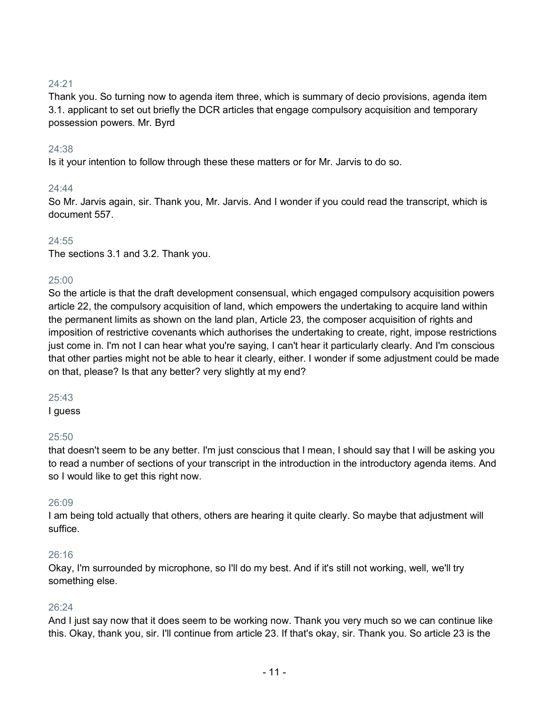Thank you. So turning now to agenda item three, which is summary of decio provisions, agenda item 3.1. applicant to set out briefly the DCR articles that engage compulsory acquisition and temporary possession powers. Mr. Byrd

#### 24:38

Is it your intention to follow through these these matters or for Mr. Jarvis to do so.

#### 24:44

So Mr. Jarvis again, sir. Thank you, Mr. Jarvis. And I wonder if you could read the transcript, which is document 557.

#### 24:55

The sections 3.1 and 3.2. Thank you.

#### 25:00

So the article is that the draft development consensual, which engaged compulsory acquisition powers article 22, the compulsory acquisition of land, which empowers the undertaking to acquire land within the permanent limits as shown on the land plan, Article 23, the composer acquisition of rights and imposition of restrictive covenants which authorises the undertaking to create, right, impose restrictions just come in. I'm not I can hear what you're saying, I can't hear it particularly clearly. And I'm conscious that other parties might not be able to hear it clearly, either. I wonder if some adjustment could be made on that, please? Is that any better? very slightly at my end?

#### 25:43

I guess

#### 25:50

that doesn't seem to be any better. I'm just conscious that I mean, I should say that I will be asking you to read a number of sections of your transcript in the introduction in the introductory agenda items. And so I would like to get this right now.

#### 26:09

I am being told actually that others, others are hearing it quite clearly. So maybe that adjustment will suffice.

#### 26:16

Okay, I'm surrounded by microphone, so I'll do my best. And if it's still not working, well, we'll try something else.

#### 26:24

And I just say now that it does seem to be working now. Thank you very much so we can continue like this. Okay, thank you, sir. I'll continue from article 23. If that's okay, sir. Thank you. So article 23 is the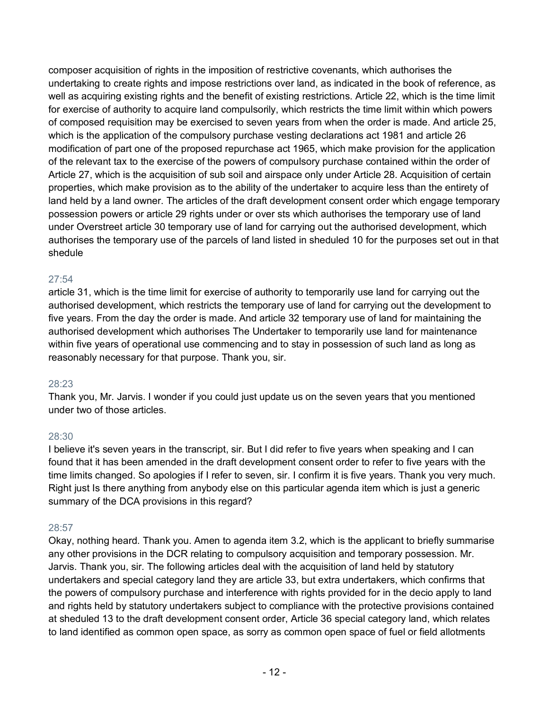composer acquisition of rights in the imposition of restrictive covenants, which authorises the undertaking to create rights and impose restrictions over land, as indicated in the book of reference, as well as acquiring existing rights and the benefit of existing restrictions. Article 22, which is the time limit for exercise of authority to acquire land compulsorily, which restricts the time limit within which powers of composed requisition may be exercised to seven years from when the order is made. And article 25, which is the application of the compulsory purchase vesting declarations act 1981 and article 26 modification of part one of the proposed repurchase act 1965, which make provision for the application of the relevant tax to the exercise of the powers of compulsory purchase contained within the order of Article 27, which is the acquisition of sub soil and airspace only under Article 28. Acquisition of certain properties, which make provision as to the ability of the undertaker to acquire less than the entirety of land held by a land owner. The articles of the draft development consent order which engage temporary possession powers or article 29 rights under or over sts which authorises the temporary use of land under Overstreet article 30 temporary use of land for carrying out the authorised development, which authorises the temporary use of the parcels of land listed in sheduled 10 for the purposes set out in that shedule

## 27:54

article 31, which is the time limit for exercise of authority to temporarily use land for carrying out the authorised development, which restricts the temporary use of land for carrying out the development to five years. From the day the order is made. And article 32 temporary use of land for maintaining the authorised development which authorises The Undertaker to temporarily use land for maintenance within five years of operational use commencing and to stay in possession of such land as long as reasonably necessary for that purpose. Thank you, sir.

## 28:23

Thank you, Mr. Jarvis. I wonder if you could just update us on the seven years that you mentioned under two of those articles.

## 28:30

I believe it's seven years in the transcript, sir. But I did refer to five years when speaking and I can found that it has been amended in the draft development consent order to refer to five years with the time limits changed. So apologies if I refer to seven, sir. I confirm it is five years. Thank you very much. Right just Is there anything from anybody else on this particular agenda item which is just a generic summary of the DCA provisions in this regard?

## 28:57

Okay, nothing heard. Thank you. Amen to agenda item 3.2, which is the applicant to briefly summarise any other provisions in the DCR relating to compulsory acquisition and temporary possession. Mr. Jarvis. Thank you, sir. The following articles deal with the acquisition of land held by statutory undertakers and special category land they are article 33, but extra undertakers, which confirms that the powers of compulsory purchase and interference with rights provided for in the decio apply to land and rights held by statutory undertakers subject to compliance with the protective provisions contained at sheduled 13 to the draft development consent order, Article 36 special category land, which relates to land identified as common open space, as sorry as common open space of fuel or field allotments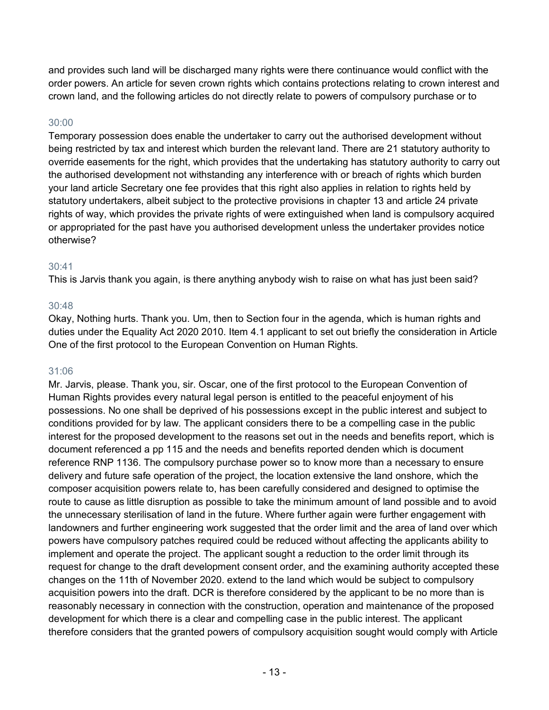and provides such land will be discharged many rights were there continuance would conflict with the order powers. An article for seven crown rights which contains protections relating to crown interest and crown land, and the following articles do not directly relate to powers of compulsory purchase or to

#### 30:00

Temporary possession does enable the undertaker to carry out the authorised development without being restricted by tax and interest which burden the relevant land. There are 21 statutory authority to override easements for the right, which provides that the undertaking has statutory authority to carry out the authorised development not withstanding any interference with or breach of rights which burden your land article Secretary one fee provides that this right also applies in relation to rights held by statutory undertakers, albeit subject to the protective provisions in chapter 13 and article 24 private rights of way, which provides the private rights of were extinguished when land is compulsory acquired or appropriated for the past have you authorised development unless the undertaker provides notice otherwise?

#### 30:41

This is Jarvis thank you again, is there anything anybody wish to raise on what has just been said?

#### 30:48

Okay, Nothing hurts. Thank you. Um, then to Section four in the agenda, which is human rights and duties under the Equality Act 2020 2010. Item 4.1 applicant to set out briefly the consideration in Article One of the first protocol to the European Convention on Human Rights.

#### 31:06

Mr. Jarvis, please. Thank you, sir. Oscar, one of the first protocol to the European Convention of Human Rights provides every natural legal person is entitled to the peaceful enjoyment of his possessions. No one shall be deprived of his possessions except in the public interest and subject to conditions provided for by law. The applicant considers there to be a compelling case in the public interest for the proposed development to the reasons set out in the needs and benefits report, which is document referenced a pp 115 and the needs and benefits reported denden which is document reference RNP 1136. The compulsory purchase power so to know more than a necessary to ensure delivery and future safe operation of the project, the location extensive the land onshore, which the composer acquisition powers relate to, has been carefully considered and designed to optimise the route to cause as little disruption as possible to take the minimum amount of land possible and to avoid the unnecessary sterilisation of land in the future. Where further again were further engagement with landowners and further engineering work suggested that the order limit and the area of land over which powers have compulsory patches required could be reduced without affecting the applicants ability to implement and operate the project. The applicant sought a reduction to the order limit through its request for change to the draft development consent order, and the examining authority accepted these changes on the 11th of November 2020. extend to the land which would be subject to compulsory acquisition powers into the draft. DCR is therefore considered by the applicant to be no more than is reasonably necessary in connection with the construction, operation and maintenance of the proposed development for which there is a clear and compelling case in the public interest. The applicant therefore considers that the granted powers of compulsory acquisition sought would comply with Article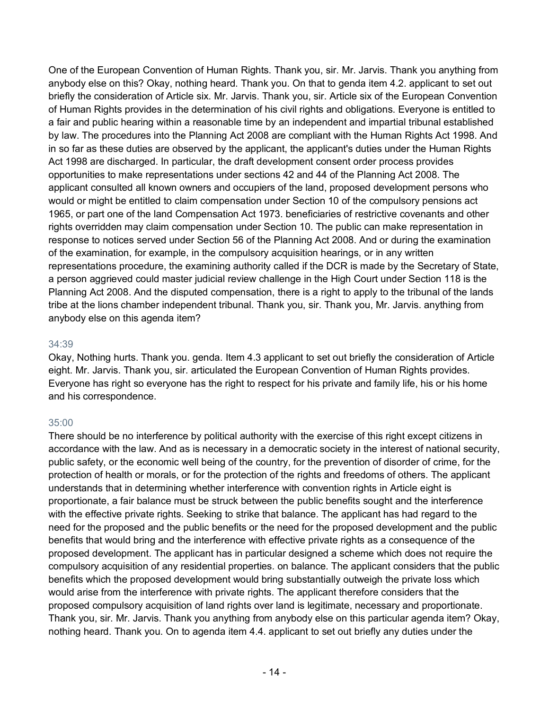One of the European Convention of Human Rights. Thank you, sir. Mr. Jarvis. Thank you anything from anybody else on this? Okay, nothing heard. Thank you. On that to genda item 4.2. applicant to set out briefly the consideration of Article six. Mr. Jarvis. Thank you, sir. Article six of the European Convention of Human Rights provides in the determination of his civil rights and obligations. Everyone is entitled to a fair and public hearing within a reasonable time by an independent and impartial tribunal established by law. The procedures into the Planning Act 2008 are compliant with the Human Rights Act 1998. And in so far as these duties are observed by the applicant, the applicant's duties under the Human Rights Act 1998 are discharged. In particular, the draft development consent order process provides opportunities to make representations under sections 42 and 44 of the Planning Act 2008. The applicant consulted all known owners and occupiers of the land, proposed development persons who would or might be entitled to claim compensation under Section 10 of the compulsory pensions act 1965, or part one of the land Compensation Act 1973. beneficiaries of restrictive covenants and other rights overridden may claim compensation under Section 10. The public can make representation in response to notices served under Section 56 of the Planning Act 2008. And or during the examination of the examination, for example, in the compulsory acquisition hearings, or in any written representations procedure, the examining authority called if the DCR is made by the Secretary of State, a person aggrieved could master judicial review challenge in the High Court under Section 118 is the Planning Act 2008. And the disputed compensation, there is a right to apply to the tribunal of the lands tribe at the lions chamber independent tribunal. Thank you, sir. Thank you, Mr. Jarvis. anything from anybody else on this agenda item?

#### 34:39

Okay, Nothing hurts. Thank you. genda. Item 4.3 applicant to set out briefly the consideration of Article eight. Mr. Jarvis. Thank you, sir. articulated the European Convention of Human Rights provides. Everyone has right so everyone has the right to respect for his private and family life, his or his home and his correspondence.

#### 35:00

There should be no interference by political authority with the exercise of this right except citizens in accordance with the law. And as is necessary in a democratic society in the interest of national security, public safety, or the economic well being of the country, for the prevention of disorder of crime, for the protection of health or morals, or for the protection of the rights and freedoms of others. The applicant understands that in determining whether interference with convention rights in Article eight is proportionate, a fair balance must be struck between the public benefits sought and the interference with the effective private rights. Seeking to strike that balance. The applicant has had regard to the need for the proposed and the public benefits or the need for the proposed development and the public benefits that would bring and the interference with effective private rights as a consequence of the proposed development. The applicant has in particular designed a scheme which does not require the compulsory acquisition of any residential properties. on balance. The applicant considers that the public benefits which the proposed development would bring substantially outweigh the private loss which would arise from the interference with private rights. The applicant therefore considers that the proposed compulsory acquisition of land rights over land is legitimate, necessary and proportionate. Thank you, sir. Mr. Jarvis. Thank you anything from anybody else on this particular agenda item? Okay, nothing heard. Thank you. On to agenda item 4.4. applicant to set out briefly any duties under the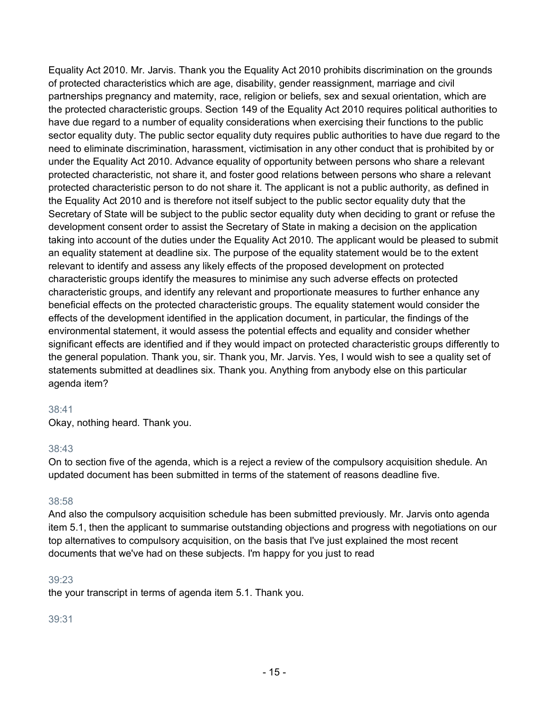Equality Act 2010. Mr. Jarvis. Thank you the Equality Act 2010 prohibits discrimination on the grounds of protected characteristics which are age, disability, gender reassignment, marriage and civil partnerships pregnancy and maternity, race, religion or beliefs, sex and sexual orientation, which are the protected characteristic groups. Section 149 of the Equality Act 2010 requires political authorities to have due regard to a number of equality considerations when exercising their functions to the public sector equality duty. The public sector equality duty requires public authorities to have due regard to the need to eliminate discrimination, harassment, victimisation in any other conduct that is prohibited by or under the Equality Act 2010. Advance equality of opportunity between persons who share a relevant protected characteristic, not share it, and foster good relations between persons who share a relevant protected characteristic person to do not share it. The applicant is not a public authority, as defined in the Equality Act 2010 and is therefore not itself subject to the public sector equality duty that the Secretary of State will be subject to the public sector equality duty when deciding to grant or refuse the development consent order to assist the Secretary of State in making a decision on the application taking into account of the duties under the Equality Act 2010. The applicant would be pleased to submit an equality statement at deadline six. The purpose of the equality statement would be to the extent relevant to identify and assess any likely effects of the proposed development on protected characteristic groups identify the measures to minimise any such adverse effects on protected characteristic groups, and identify any relevant and proportionate measures to further enhance any beneficial effects on the protected characteristic groups. The equality statement would consider the effects of the development identified in the application document, in particular, the findings of the environmental statement, it would assess the potential effects and equality and consider whether significant effects are identified and if they would impact on protected characteristic groups differently to the general population. Thank you, sir. Thank you, Mr. Jarvis. Yes, I would wish to see a quality set of statements submitted at deadlines six. Thank you. Anything from anybody else on this particular agenda item?

#### 38:41

Okay, nothing heard. Thank you.

#### 38:43

On to section five of the agenda, which is a reject a review of the compulsory acquisition shedule. An updated document has been submitted in terms of the statement of reasons deadline five.

#### 38:58

And also the compulsory acquisition schedule has been submitted previously. Mr. Jarvis onto agenda item 5.1, then the applicant to summarise outstanding objections and progress with negotiations on our top alternatives to compulsory acquisition, on the basis that I've just explained the most recent documents that we've had on these subjects. I'm happy for you just to read

#### 39:23

the your transcript in terms of agenda item 5.1. Thank you.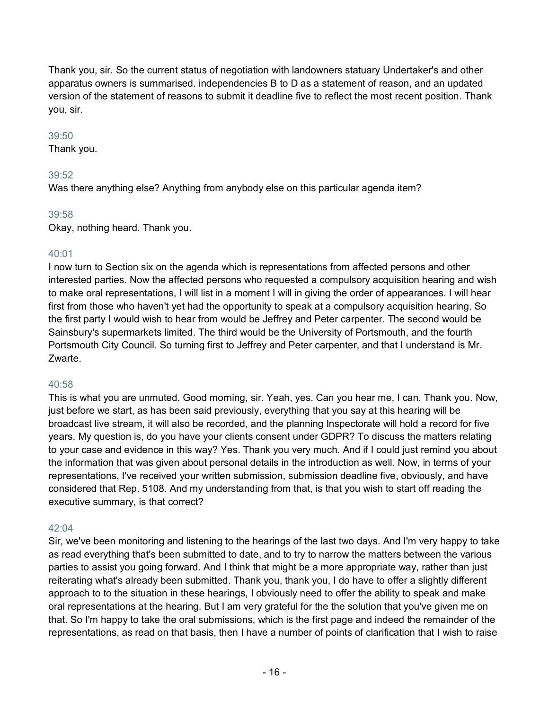Thank you, sir. So the current status of negotiation with landowners statuary Undertaker's and other apparatus owners is summarised. independencies B to D as a statement of reason, and an updated version of the statement of reasons to submit it deadline five to reflect the most recent position. Thank you, sir.

#### 39:50

Thank you.

## 39:52

Was there anything else? Anything from anybody else on this particular agenda item?

## 39:58

Okay, nothing heard. Thank you.

## 40:01

I now turn to Section six on the agenda which is representations from affected persons and other interested parties. Now the affected persons who requested a compulsory acquisition hearing and wish to make oral representations, I will list in a moment I will in giving the order of appearances. I will hear first from those who haven't yet had the opportunity to speak at a compulsory acquisition hearing. So the first party I would wish to hear from would be Jeffrey and Peter carpenter. The second would be Sainsbury's supermarkets limited. The third would be the University of Portsmouth, and the fourth Portsmouth City Council. So turning first to Jeffrey and Peter carpenter, and that I understand is Mr. Zwarte.

## 40:58

This is what you are unmuted. Good morning, sir. Yeah, yes. Can you hear me, I can. Thank you. Now, just before we start, as has been said previously, everything that you say at this hearing will be broadcast live stream, it will also be recorded, and the planning Inspectorate will hold a record for five years. My question is, do you have your clients consent under GDPR? To discuss the matters relating to your case and evidence in this way? Yes. Thank you very much. And if I could just remind you about the information that was given about personal details in the introduction as well. Now, in terms of your representations, I've received your written submission, submission deadline five, obviously, and have considered that Rep. 5108. And my understanding from that, is that you wish to start off reading the executive summary, is that correct?

## 42:04

Sir, we've been monitoring and listening to the hearings of the last two days. And I'm very happy to take as read everything that's been submitted to date, and to try to narrow the matters between the various parties to assist you going forward. And I think that might be a more appropriate way, rather than just reiterating what's already been submitted. Thank you, thank you, I do have to offer a slightly different approach to to the situation in these hearings, I obviously need to offer the ability to speak and make oral representations at the hearing. But I am very grateful for the the solution that you've given me on that. So I'm happy to take the oral submissions, which is the first page and indeed the remainder of the representations, as read on that basis, then I have a number of points of clarification that I wish to raise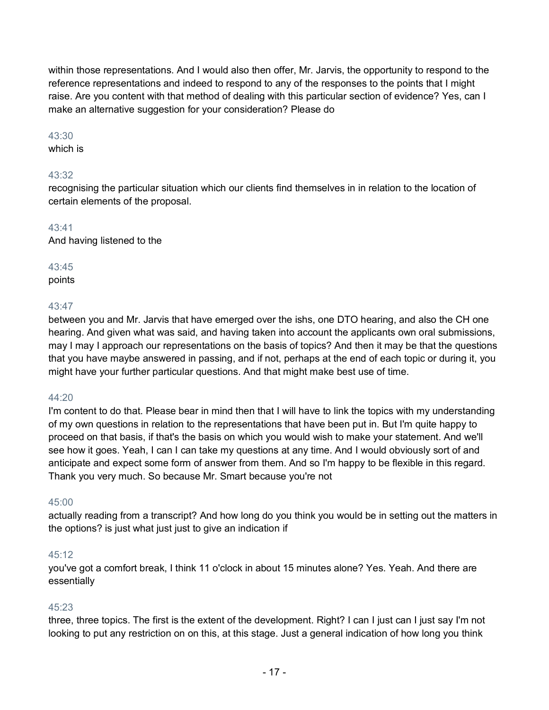within those representations. And I would also then offer, Mr. Jarvis, the opportunity to respond to the reference representations and indeed to respond to any of the responses to the points that I might raise. Are you content with that method of dealing with this particular section of evidence? Yes, can I make an alternative suggestion for your consideration? Please do

#### 43:30

which is

## 43:32

recognising the particular situation which our clients find themselves in in relation to the location of certain elements of the proposal.

#### 43:41

And having listened to the

## 43:45

points

## 43:47

between you and Mr. Jarvis that have emerged over the ishs, one DTO hearing, and also the CH one hearing. And given what was said, and having taken into account the applicants own oral submissions, may I may I approach our representations on the basis of topics? And then it may be that the questions that you have maybe answered in passing, and if not, perhaps at the end of each topic or during it, you might have your further particular questions. And that might make best use of time.

## 44:20

I'm content to do that. Please bear in mind then that I will have to link the topics with my understanding of my own questions in relation to the representations that have been put in. But I'm quite happy to proceed on that basis, if that's the basis on which you would wish to make your statement. And we'll see how it goes. Yeah, I can I can take my questions at any time. And I would obviously sort of and anticipate and expect some form of answer from them. And so I'm happy to be flexible in this regard. Thank you very much. So because Mr. Smart because you're not

## 45:00

actually reading from a transcript? And how long do you think you would be in setting out the matters in the options? is just what just just to give an indication if

## 45:12

you've got a comfort break, I think 11 o'clock in about 15 minutes alone? Yes. Yeah. And there are essentially

## 45:23

three, three topics. The first is the extent of the development. Right? I can I just can I just say I'm not looking to put any restriction on on this, at this stage. Just a general indication of how long you think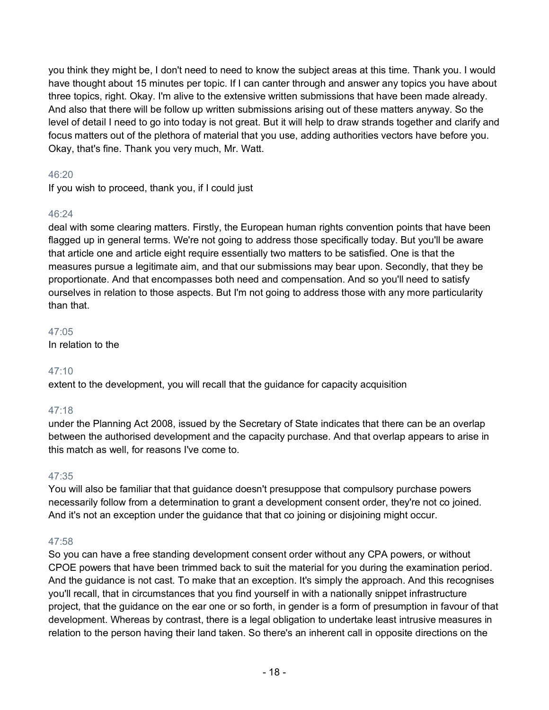you think they might be, I don't need to need to know the subject areas at this time. Thank you. I would have thought about 15 minutes per topic. If I can canter through and answer any topics you have about three topics, right. Okay. I'm alive to the extensive written submissions that have been made already. And also that there will be follow up written submissions arising out of these matters anyway. So the level of detail I need to go into today is not great. But it will help to draw strands together and clarify and focus matters out of the plethora of material that you use, adding authorities vectors have before you. Okay, that's fine. Thank you very much, Mr. Watt.

## 46:20

If you wish to proceed, thank you, if I could just

## 46:24

deal with some clearing matters. Firstly, the European human rights convention points that have been flagged up in general terms. We're not going to address those specifically today. But you'll be aware that article one and article eight require essentially two matters to be satisfied. One is that the measures pursue a legitimate aim, and that our submissions may bear upon. Secondly, that they be proportionate. And that encompasses both need and compensation. And so you'll need to satisfy ourselves in relation to those aspects. But I'm not going to address those with any more particularity than that.

## 47:05

In relation to the

## 47:10

extent to the development, you will recall that the guidance for capacity acquisition

## 47:18

under the Planning Act 2008, issued by the Secretary of State indicates that there can be an overlap between the authorised development and the capacity purchase. And that overlap appears to arise in this match as well, for reasons I've come to.

## 47:35

You will also be familiar that that guidance doesn't presuppose that compulsory purchase powers necessarily follow from a determination to grant a development consent order, they're not co joined. And it's not an exception under the guidance that that co joining or disjoining might occur.

## 47:58

So you can have a free standing development consent order without any CPA powers, or without CPOE powers that have been trimmed back to suit the material for you during the examination period. And the guidance is not cast. To make that an exception. It's simply the approach. And this recognises you'll recall, that in circumstances that you find yourself in with a nationally snippet infrastructure project, that the guidance on the ear one or so forth, in gender is a form of presumption in favour of that development. Whereas by contrast, there is a legal obligation to undertake least intrusive measures in relation to the person having their land taken. So there's an inherent call in opposite directions on the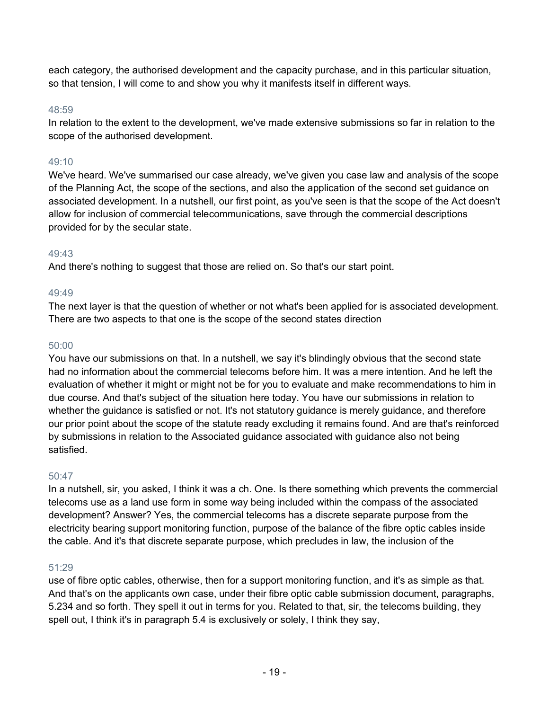each category, the authorised development and the capacity purchase, and in this particular situation, so that tension, I will come to and show you why it manifests itself in different ways.

## 48:59

In relation to the extent to the development, we've made extensive submissions so far in relation to the scope of the authorised development.

## $49.10$

We've heard. We've summarised our case already, we've given you case law and analysis of the scope of the Planning Act, the scope of the sections, and also the application of the second set guidance on associated development. In a nutshell, our first point, as you've seen is that the scope of the Act doesn't allow for inclusion of commercial telecommunications, save through the commercial descriptions provided for by the secular state.

## 49:43

And there's nothing to suggest that those are relied on. So that's our start point.

## 49:49

The next layer is that the question of whether or not what's been applied for is associated development. There are two aspects to that one is the scope of the second states direction

## 50:00

You have our submissions on that. In a nutshell, we say it's blindingly obvious that the second state had no information about the commercial telecoms before him. It was a mere intention. And he left the evaluation of whether it might or might not be for you to evaluate and make recommendations to him in due course. And that's subject of the situation here today. You have our submissions in relation to whether the guidance is satisfied or not. It's not statutory guidance is merely guidance, and therefore our prior point about the scope of the statute ready excluding it remains found. And are that's reinforced by submissions in relation to the Associated guidance associated with guidance also not being satisfied.

## 50:47

In a nutshell, sir, you asked, I think it was a ch. One. Is there something which prevents the commercial telecoms use as a land use form in some way being included within the compass of the associated development? Answer? Yes, the commercial telecoms has a discrete separate purpose from the electricity bearing support monitoring function, purpose of the balance of the fibre optic cables inside the cable. And it's that discrete separate purpose, which precludes in law, the inclusion of the

## 51:29

use of fibre optic cables, otherwise, then for a support monitoring function, and it's as simple as that. And that's on the applicants own case, under their fibre optic cable submission document, paragraphs, 5.234 and so forth. They spell it out in terms for you. Related to that, sir, the telecoms building, they spell out, I think it's in paragraph 5.4 is exclusively or solely, I think they say,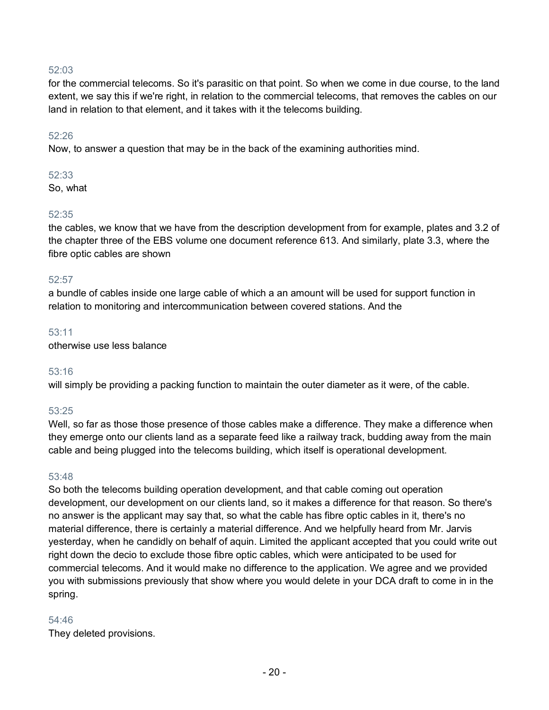for the commercial telecoms. So it's parasitic on that point. So when we come in due course, to the land extent, we say this if we're right, in relation to the commercial telecoms, that removes the cables on our land in relation to that element, and it takes with it the telecoms building.

#### 52:26

Now, to answer a question that may be in the back of the examining authorities mind.

#### 52:33

So, what

#### 52:35

the cables, we know that we have from the description development from for example, plates and 3.2 of the chapter three of the EBS volume one document reference 613. And similarly, plate 3.3, where the fibre optic cables are shown

#### 52:57

a bundle of cables inside one large cable of which a an amount will be used for support function in relation to monitoring and intercommunication between covered stations. And the

#### 53:11

otherwise use less balance

#### 53:16

will simply be providing a packing function to maintain the outer diameter as it were, of the cable.

#### 53:25

Well, so far as those those presence of those cables make a difference. They make a difference when they emerge onto our clients land as a separate feed like a railway track, budding away from the main cable and being plugged into the telecoms building, which itself is operational development.

#### 53:48

So both the telecoms building operation development, and that cable coming out operation development, our development on our clients land, so it makes a difference for that reason. So there's no answer is the applicant may say that, so what the cable has fibre optic cables in it, there's no material difference, there is certainly a material difference. And we helpfully heard from Mr. Jarvis yesterday, when he candidly on behalf of aquin. Limited the applicant accepted that you could write out right down the decio to exclude those fibre optic cables, which were anticipated to be used for commercial telecoms. And it would make no difference to the application. We agree and we provided you with submissions previously that show where you would delete in your DCA draft to come in in the spring.

#### 54:46

They deleted provisions.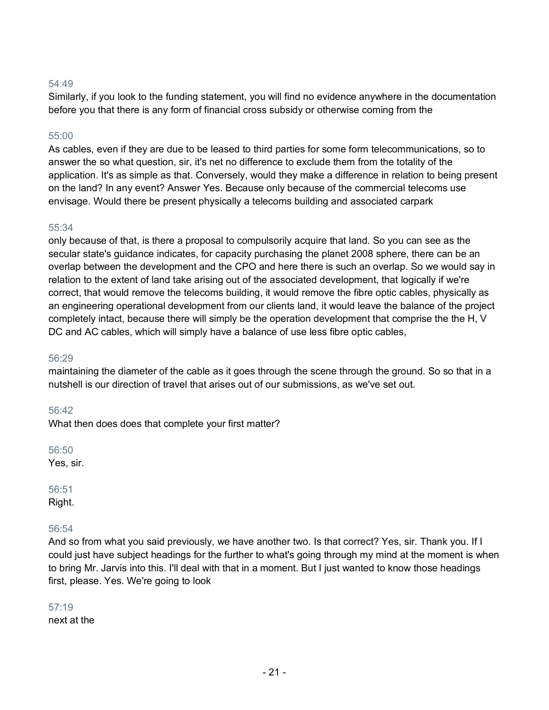Similarly, if you look to the funding statement, you will find no evidence anywhere in the documentation before you that there is any form of financial cross subsidy or otherwise coming from the

#### 55:00

As cables, even if they are due to be leased to third parties for some form telecommunications, so to answer the so what question, sir, it's net no difference to exclude them from the totality of the application. It's as simple as that. Conversely, would they make a difference in relation to being present on the land? In any event? Answer Yes. Because only because of the commercial telecoms use envisage. Would there be present physically a telecoms building and associated carpark

#### 55:34

only because of that, is there a proposal to compulsorily acquire that land. So you can see as the secular state's guidance indicates, for capacity purchasing the planet 2008 sphere, there can be an overlap between the development and the CPO and here there is such an overlap. So we would say in relation to the extent of land take arising out of the associated development, that logically if we're correct, that would remove the telecoms building, it would remove the fibre optic cables, physically as an engineering operational development from our clients land, it would leave the balance of the project completely intact, because there will simply be the operation development that comprise the the H, V DC and AC cables, which will simply have a balance of use less fibre optic cables,

#### 56:29

maintaining the diameter of the cable as it goes through the scene through the ground. So so that in a nutshell is our direction of travel that arises out of our submissions, as we've set out.

#### 56:42

What then does does that complete your first matter?

56:50

Yes, sir.

## 56:51

Right.

## 56:54

And so from what you said previously, we have another two. Is that correct? Yes, sir. Thank you. If I could just have subject headings for the further to what's going through my mind at the moment is when to bring Mr. Jarvis into this. I'll deal with that in a moment. But I just wanted to know those headings first, please. Yes. We're going to look

## 57:19

next at the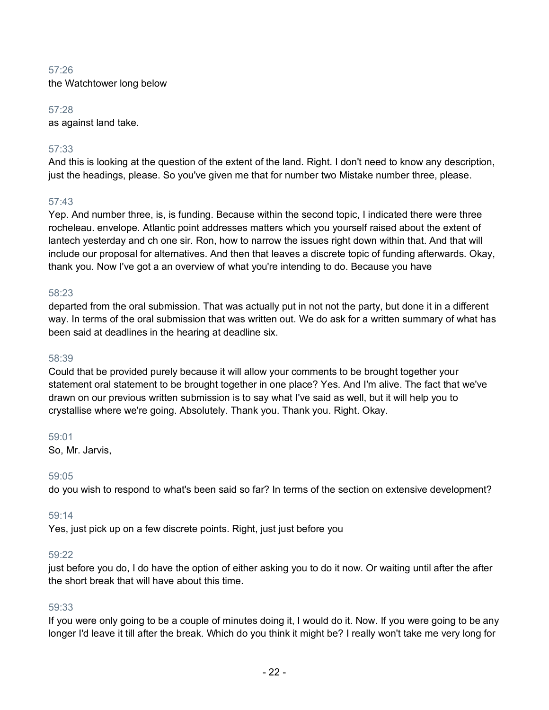the Watchtower long below

#### 57:28

as against land take.

## 57:33

And this is looking at the question of the extent of the land. Right. I don't need to know any description, just the headings, please. So you've given me that for number two Mistake number three, please.

## 57:43

Yep. And number three, is, is funding. Because within the second topic, I indicated there were three rocheleau. envelope. Atlantic point addresses matters which you yourself raised about the extent of lantech yesterday and ch one sir. Ron, how to narrow the issues right down within that. And that will include our proposal for alternatives. And then that leaves a discrete topic of funding afterwards. Okay, thank you. Now I've got a an overview of what you're intending to do. Because you have

#### 58:23

departed from the oral submission. That was actually put in not not the party, but done it in a different way. In terms of the oral submission that was written out. We do ask for a written summary of what has been said at deadlines in the hearing at deadline six.

#### 58:39

Could that be provided purely because it will allow your comments to be brought together your statement oral statement to be brought together in one place? Yes. And I'm alive. The fact that we've drawn on our previous written submission is to say what I've said as well, but it will help you to crystallise where we're going. Absolutely. Thank you. Thank you. Right. Okay.

#### 59:01

So, Mr. Jarvis,

#### 59:05

do you wish to respond to what's been said so far? In terms of the section on extensive development?

#### 59:14

Yes, just pick up on a few discrete points. Right, just just before you

#### 59:22

just before you do, I do have the option of either asking you to do it now. Or waiting until after the after the short break that will have about this time.

#### 59:33

If you were only going to be a couple of minutes doing it, I would do it. Now. If you were going to be any longer I'd leave it till after the break. Which do you think it might be? I really won't take me very long for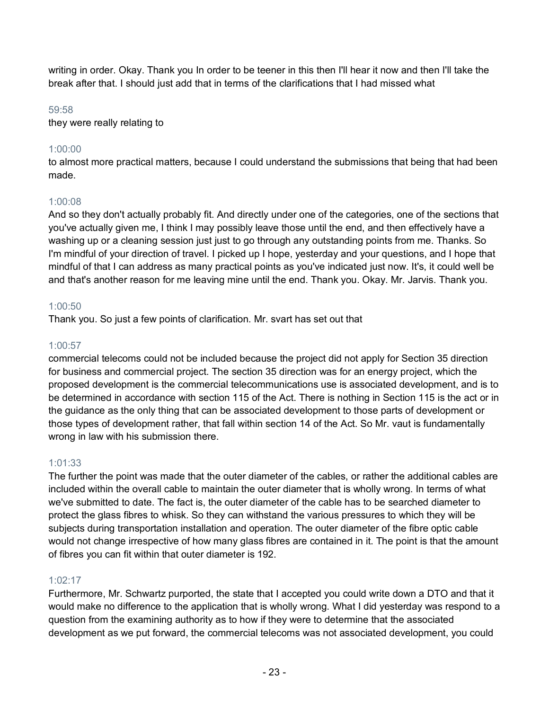writing in order. Okay. Thank you In order to be teener in this then I'll hear it now and then I'll take the break after that. I should just add that in terms of the clarifications that I had missed what

#### 59:58

they were really relating to

## 1:00:00

to almost more practical matters, because I could understand the submissions that being that had been made.

## 1:00:08

And so they don't actually probably fit. And directly under one of the categories, one of the sections that you've actually given me, I think I may possibly leave those until the end, and then effectively have a washing up or a cleaning session just just to go through any outstanding points from me. Thanks. So I'm mindful of your direction of travel. I picked up I hope, yesterday and your questions, and I hope that mindful of that I can address as many practical points as you've indicated just now. It's, it could well be and that's another reason for me leaving mine until the end. Thank you. Okay. Mr. Jarvis. Thank you.

## 1:00:50

Thank you. So just a few points of clarification. Mr. svart has set out that

## 1:00:57

commercial telecoms could not be included because the project did not apply for Section 35 direction for business and commercial project. The section 35 direction was for an energy project, which the proposed development is the commercial telecommunications use is associated development, and is to be determined in accordance with section 115 of the Act. There is nothing in Section 115 is the act or in the guidance as the only thing that can be associated development to those parts of development or those types of development rather, that fall within section 14 of the Act. So Mr. vaut is fundamentally wrong in law with his submission there.

## 1:01:33

The further the point was made that the outer diameter of the cables, or rather the additional cables are included within the overall cable to maintain the outer diameter that is wholly wrong. In terms of what we've submitted to date. The fact is, the outer diameter of the cable has to be searched diameter to protect the glass fibres to whisk. So they can withstand the various pressures to which they will be subjects during transportation installation and operation. The outer diameter of the fibre optic cable would not change irrespective of how many glass fibres are contained in it. The point is that the amount of fibres you can fit within that outer diameter is 192.

## 1:02:17

Furthermore, Mr. Schwartz purported, the state that I accepted you could write down a DTO and that it would make no difference to the application that is wholly wrong. What I did yesterday was respond to a question from the examining authority as to how if they were to determine that the associated development as we put forward, the commercial telecoms was not associated development, you could